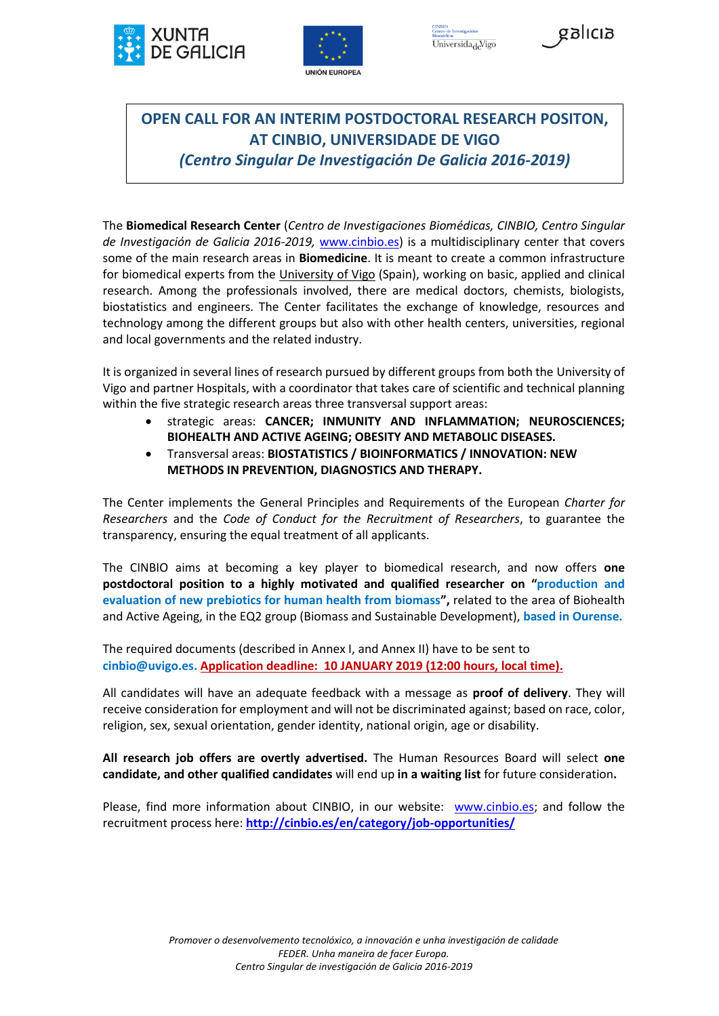





# **OPEN CALL FOR AN INTERIM POSTDOCTORAL RESEARCH POSITON, AT CINBIO, UNIVERSIDADE DE VIGO**  *(Centro Singular De Investigación De Galicia 2016-2019)*

The **Biomedical Research Center** (*Centro de Investigaciones Biomédicas, CINBIO, Centro Singular de Investigación de Galicia 2016-2019,* [www.cinbio.es\)](http://www.cinbio.es/) is a multidisciplinary center that covers some of the main research areas in **Biomedicine**. It is meant to create a common infrastructure for biomedical experts from the [University of Vigo](http://www.uvigo.es/) (Spain), working on basic, applied and clinical research. Among the professionals involved, there are medical doctors, chemists, biologists, biostatistics and engineers. The Center facilitates the exchange of knowledge, resources and technology among the different groups but also with other health centers, universities, regional and local governments and the related industry.

It is organized in several lines of research pursued by different groups from both the University of Vigo and partner Hospitals, with a coordinator that takes care of scientific and technical planning within the five strategic research areas three transversal support areas:

- strategic areas: **CANCER; INMUNITY AND INFLAMMATION; NEUROSCIENCES; BIOHEALTH AND ACTIVE AGEING; OBESITY AND METABOLIC DISEASES.**
- Transversal areas: **BIOSTATISTICS / BIOINFORMATICS / INNOVATION: NEW METHODS IN PREVENTION, DIAGNOSTICS AND THERAPY.**

The Center implements the General Principles and Requirements of the European *Charter for Researchers* and the *Code of Conduct for the Recruitment of Researchers*, to guarantee the transparency, ensuring the equal treatment of all applicants.

The CINBIO aims at becoming a key player to biomedical research, and now offers **one postdoctoral position to a highly motivated and qualified researcher on "production and evaluation of new prebiotics for human health from biomass",** related to the area of Biohealth and Active Ageing, in the EQ2 group (Biomass and Sustainable Development), **based in Ourense.**

The required documents (described in Annex I, and Annex II) have to be sent to **cinbio@uvigo.es. Application deadline: 10 JANUARY 2019 (12:00 hours, local time).**

All candidates will have an adequate feedback with a message as **proof of delivery**. They will receive consideration for employment and will not be discriminated against; based on race, color, religion, sex, sexual orientation, gender identity, national origin, age or disability.

**All research job offers are overtly advertised.** The Human Resources Board will select **one candidate, and other qualified candidates** will end up **in a waiting list** for future consideration**.**

Please, find more information about CINBIO, in our website: [www.cinbio.es;](http://www.cinbio.es/) and follow the recruitment process here: **<http://cinbio.es/en/category/job-opportunities/>**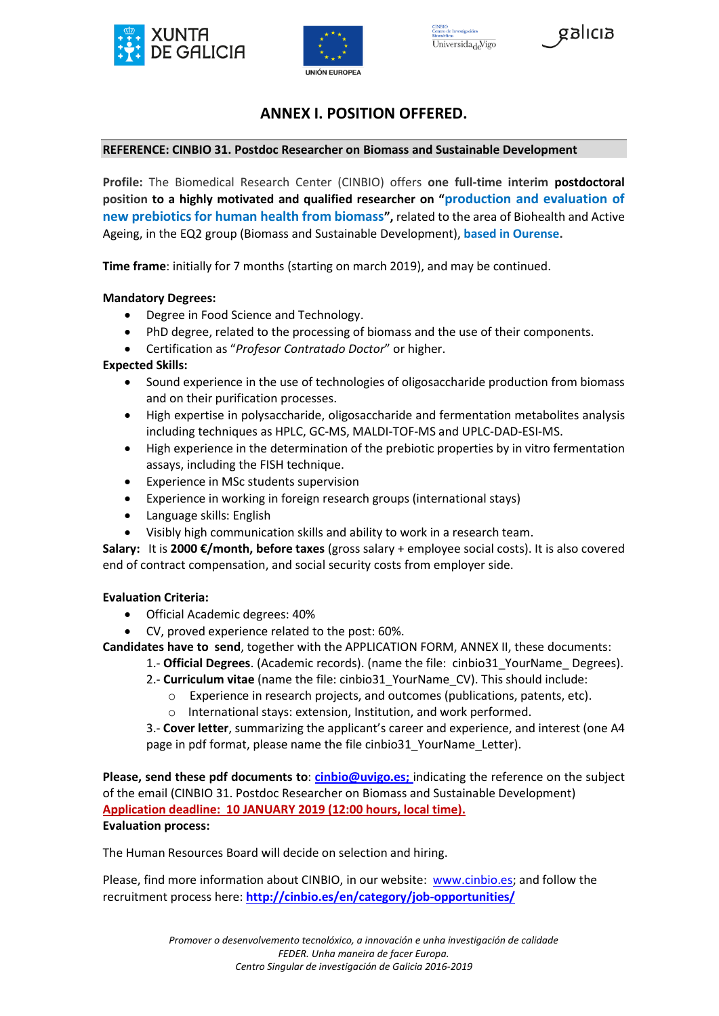





# **ANNEX I. POSITION OFFERED.**

## **REFERENCE: CINBIO 31. Postdoc Researcher on Biomass and Sustainable Development**

**Profile:** The Biomedical Research Center (CINBIO) offers **one full-time interim postdoctoral position to a highly motivated and qualified researcher on "production and evaluation of new prebiotics for human health from biomass",** related to the area of Biohealth and Active Ageing, in the EQ2 group (Biomass and Sustainable Development), **based in Ourense.**

**Time frame**: initially for 7 months (starting on march 2019), and may be continued.

## **Mandatory Degrees:**

- Degree in Food Science and Technology.
- PhD degree, related to the processing of biomass and the use of their components.
- Certification as "*Profesor Contratado Doctor*" or higher.

## **Expected Skills:**

- Sound experience in the use of technologies of oligosaccharide production from biomass and on their purification processes.
- High expertise in polysaccharide, oligosaccharide and fermentation metabolites analysis including techniques as HPLC, GC-MS, MALDI-TOF-MS and UPLC-DAD-ESI-MS.
- High experience in the determination of the prebiotic properties by in vitro fermentation assays, including the FISH technique.
- Experience in MSc students supervision
- Experience in working in foreign research groups (international stays)
- Language skills: English
- Visibly high communication skills and ability to work in a research team.

**Salary:** It is **2000 €/month, before taxes** (gross salary + employee social costs). It is also covered end of contract compensation, and social security costs from employer side.

#### **Evaluation Criteria:**

- Official Academic degrees: 40%
- CV, proved experience related to the post: 60%.

**Candidates have to send**, together with the APPLICATION FORM, ANNEX II, these documents:

- 1.- **Official Degrees**. (Academic records). (name the file: cinbio31\_YourName\_ Degrees).
	- 2.- **Curriculum vitae** (name the file: cinbio31\_YourName\_CV). This should include:
		- o Experience in research projects, and outcomes (publications, patents, etc).
		- o International stays: extension, Institution, and work performed.

3.- **Cover letter**, summarizing the applicant's career and experience, and interest (one A4 page in pdf format, please name the file cinbio31\_YourName\_Letter).

**Please, send these pdf documents to**: **[cinbio@uvigo.es;](mailto:cinbio@uvigo.es)** indicating the reference on the subject of the email (CINBIO 31. Postdoc Researcher on Biomass and Sustainable Development) **Application deadline: 10 JANUARY 2019 (12:00 hours, local time). Evaluation process:**

The Human Resources Board will decide on selection and hiring.

Please, find more information about CINBIO, in our website: [www.cinbio.es;](http://www.cinbio.es/) and follow the recruitment process here: **<http://cinbio.es/en/category/job-opportunities/>**